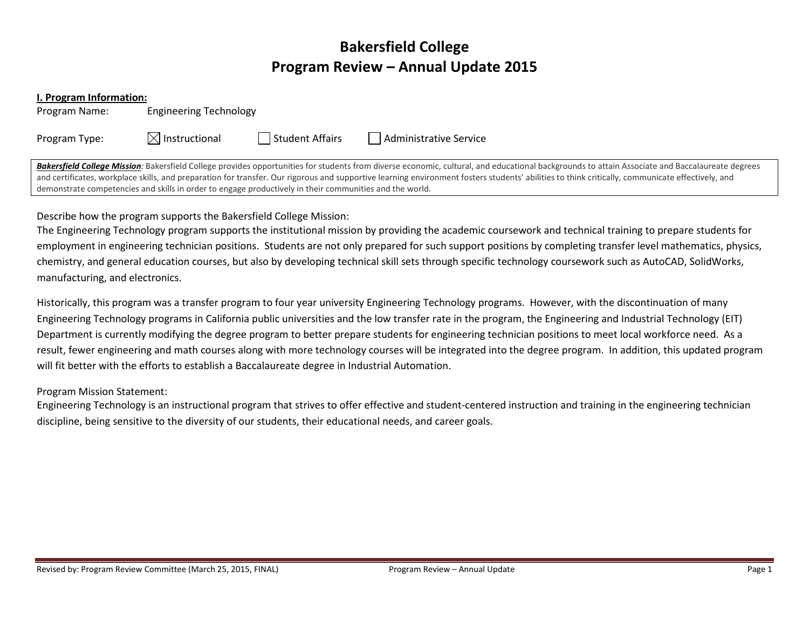# Bakersfield College Program Review – Annual Update 2015

#### I. Program Information:

Program Name: Engineering Technology

Program Type:  $\boxtimes$  Instructional  $\Box$  Student Affairs  $\Box$  Administrative Service

Bakersfield College Mission: Bakersfield College provides opportunities for students from diverse economic, cultural, and educational backgrounds to attain Associate and Baccalaureate degrees and certificates, workplace skills, and preparation for transfer. Our rigorous and supportive learning environment fosters students' abilities to think critically, communicate effectively, and demonstrate competencies and skills in order to engage productively in their communities and the world.

Describe how the program supports the Bakersfield College Mission:

The Engineering Technology program supports the institutional mission by providing the academic coursework and technical training to prepare students foremployment in engineering technician positions. Students are not only prepared for such support positions by completing transfer level mathematics, physics, chemistry, and general education courses, but also by developing technical skill sets through specific technology coursework such as AutoCAD, SolidWorks, manufacturing, and electronics.

Historically, this program was a transfer program to four year university Engineering Technology programs. However, with the discontinuation of many Engineering Technology programs in California public universities and the low transfer rate in the program, the Engineering and Industrial Technology (EIT) Department is currently modifying the degree program to better prepare students for engineering technician positions to meet local workforce need. As a result, fewer engineering and math courses along with more technology courses will be integrated into the degree program. In addition, this updated program will fit better with the efforts to establish a Baccalaureate degree in Industrial Automation.

## Program Mission Statement:

Engineering Technology is an instructional program that strives to offer effective and student-centered instruction and training in the engineering technician discipline, being sensitive to the diversity of our students, their educational needs, and career goals.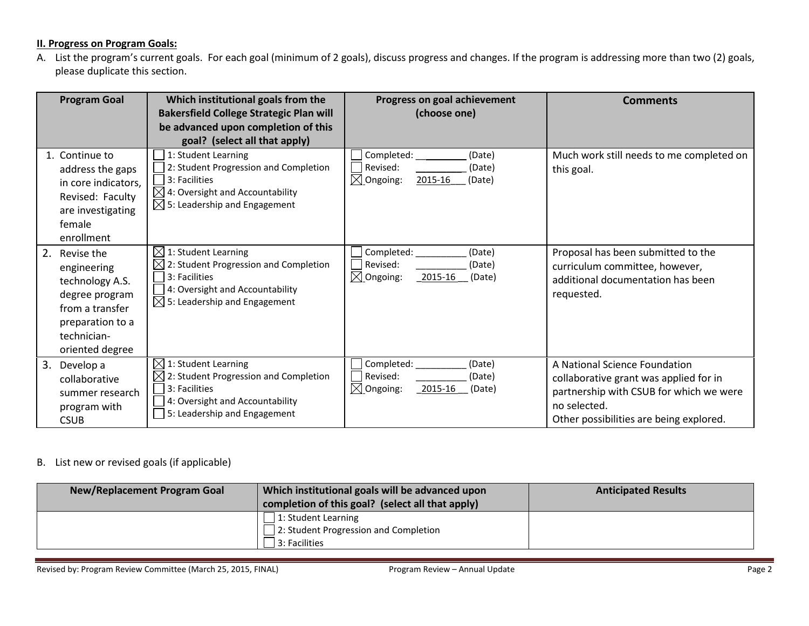## **II. Progress on Program Goals:**

A. List the program's current goals. For each goal (minimum of 2 goals), discuss progress and changes. If the program is addressing more than two (2) goals, please duplicate this section.

| <b>Program Goal</b>                                                                                                                        | Which institutional goals from the<br><b>Bakersfield College Strategic Plan will</b><br>be advanced upon completion of this<br>goal? (select all that apply)                  | Progress on goal achievement<br>(choose one)                                              | <b>Comments</b>                                                                                                                                                               |
|--------------------------------------------------------------------------------------------------------------------------------------------|-------------------------------------------------------------------------------------------------------------------------------------------------------------------------------|-------------------------------------------------------------------------------------------|-------------------------------------------------------------------------------------------------------------------------------------------------------------------------------|
| 1. Continue to<br>address the gaps<br>in core indicators,<br>Revised: Faculty<br>are investigating<br>female<br>enrollment                 | 1: Student Learning<br>2: Student Progression and Completion<br>3: Facilities<br>$\boxtimes$ 4: Oversight and Accountability<br>$\boxtimes$ 5: Leadership and Engagement      | Completed:<br>(Date)<br>Revised:<br>(Date)<br>$\boxtimes$ Ongoing:<br>2015-16<br>(Date)   | Much work still needs to me completed on<br>this goal.                                                                                                                        |
| 2. Revise the<br>engineering<br>technology A.S.<br>degree program<br>from a transfer<br>preparation to a<br>technician-<br>oriented degree | $\boxtimes$ 1: Student Learning<br>⋉<br>2: Student Progression and Completion<br>3: Facilities<br>4: Oversight and Accountability<br>$\boxtimes$ 5: Leadership and Engagement | Completed:<br>(Date)<br>Revised:<br>(Date)<br>$\boxtimes$ Ongoing:<br>2015-16<br>(Date)   | Proposal has been submitted to the<br>curriculum committee, however,<br>additional documentation has been<br>requested.                                                       |
| 3.<br>Develop a<br>collaborative<br>summer research<br>program with<br><b>CSUB</b>                                                         | $\boxtimes$<br>1: Student Learning<br>$\boxtimes$ 2: Student Progression and Completion<br>3: Facilities<br>4: Oversight and Accountability<br>5: Leadership and Engagement   | Completed:<br>(Date)<br>l Revised:<br>(Date)<br>$\boxtimes$ Ongoing:<br>2015-16<br>(Date) | A National Science Foundation<br>collaborative grant was applied for in<br>partnership with CSUB for which we were<br>no selected.<br>Other possibilities are being explored. |

### B. List new or revised goals (if applicable)

| <b>New/Replacement Program Goal</b> | Which institutional goals will be advanced upon  | <b>Anticipated Results</b> |
|-------------------------------------|--------------------------------------------------|----------------------------|
|                                     | completion of this goal? (select all that apply) |                            |
|                                     | 1: Student Learning                              |                            |
|                                     | 12: Student Progression and Completion           |                            |
|                                     | 3: Facilities                                    |                            |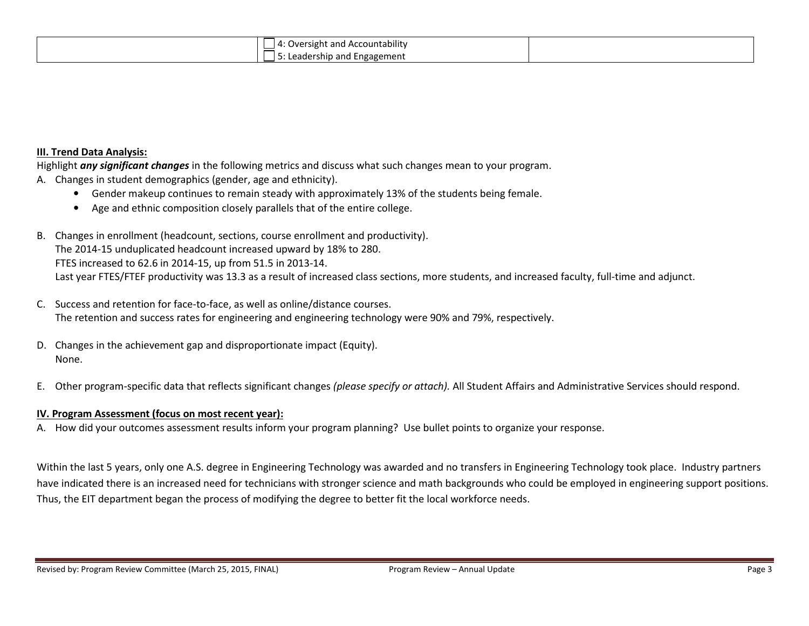| .<br>Oversight and Accountability<br>$\overline{a}$ |  |
|-----------------------------------------------------|--|
| Leadership and Engagement                           |  |

#### III. Trend Data Analysis:

Highlight any significant changes in the following metrics and discuss what such changes mean to your program.

- A. Changes in student demographics (gender, age and ethnicity).
	- Gender makeup continues to remain steady with approximately 13% of the students being female.
	- Age and ethnic composition closely parallels that of the entire college.
- B. Changes in enrollment (headcount, sections, course enrollment and productivity). The 2014-15 unduplicated headcount increased upward by 18% to 280. FTES increased to 62.6 in 2014-15, up from 51.5 in 2013-14. Last year FTES/FTEF productivity was 13.3 as a result of increased class sections, more students, and increased faculty, full-time and adjunct.
- C. Success and retention for face-to-face, as well as online/distance courses. The retention and success rates for engineering and engineering technology were 90% and 79%, respectively.
- D. Changes in the achievement gap and disproportionate impact (Equity). None.
- E.Other program-specific data that reflects significant changes (please specify or attach). All Student Affairs and Administrative Services should respond.

#### IV. Program Assessment (focus on most recent year):

A. How did your outcomes assessment results inform your program planning? Use bullet points to organize your response.

Within the last 5 years, only one A.S. degree in Engineering Technology was awarded and no transfers in Engineering Technology took place. Industry partners have indicated there is an increased need for technicians with stronger science and math backgrounds who could be employed in engineering support positions. Thus, the EIT department began the process of modifying the degree to better fit the local workforce needs.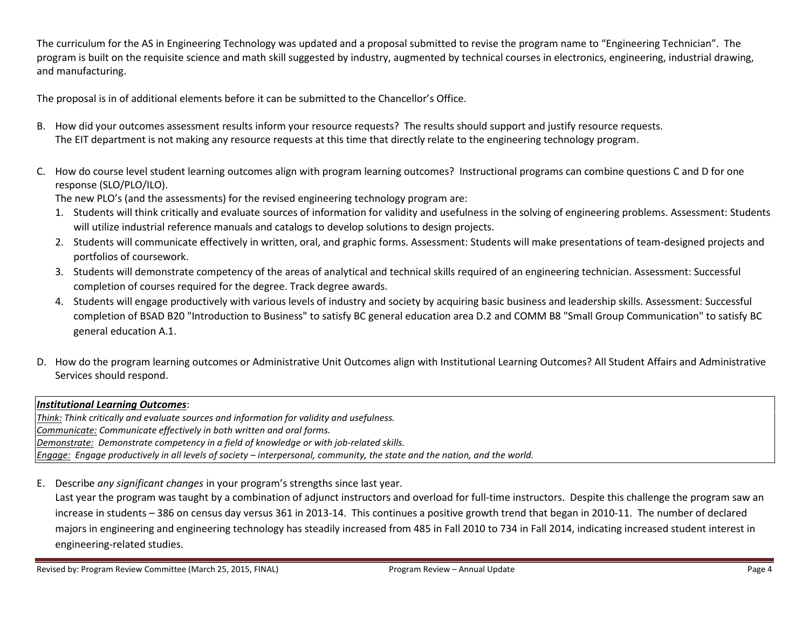The curriculum for the AS in Engineering Technology was updated and a proposal submitted to revise the program name to "Engineering Technician". The program is built on the requisite science and math skill suggested by industry, augmented by technical courses in electronics, engineering, industrial drawing, and manufacturing.

The proposal is in of additional elements before it can be submitted to the Chancellor's Office.

- B. How did your outcomes assessment results inform your resource requests? The results should support and justify resource requests. The EIT department is not making any resource requests at this time that directly relate to the engineering technology program.
- C. How do course level student learning outcomes align with program learning outcomes? Instructional programs can combine questions C and D for one response (SLO/PLO/ILO).

The new PLO's (and the assessments) for the revised engineering technology program are:

- 1. Students will think critically and evaluate sources of information for validity and usefulness in the solving of engineering problems. Assessment: Students will utilize industrial reference manuals and catalogs to develop solutions to design projects.
- 2. Students will communicate effectively in written, oral, and graphic forms. Assessment: Students will make presentations of team-designed projects and portfolios of coursework.
- 3. Students will demonstrate competency of the areas of analytical and technical skills required of an engineering technician. Assessment: Successful completion of courses required for the degree. Track degree awards.
- 4. Students will engage productively with various levels of industry and society by acquiring basic business and leadership skills. Assessment: Successful completion of BSAD B20 "Introduction to Business" to satisfy BC general education area D.2 and COMM B8 "Small Group Communication" to satisfy BC general education A.1.
- D. How do the program learning outcomes or Administrative Unit Outcomes align with Institutional Learning Outcomes? All Student Affairs and Administrative Services should respond.

## Institutional Learning Outcomes:

Think: Think critically and evaluate sources and information for validity and usefulness. Communicate: Communicate effectively in both written and oral forms. Demonstrate: Demonstrate competency in a field of knowledge or with job-related skills. Engage: Engage productively in all levels of society – interpersonal, community, the state and the nation, and the world.

E. Describe any significant changes in your program's strengths since last year.

Last year the program was taught by a combination of adjunct instructors and overload for full-time instructors. Despite this challenge the program saw an increase in students – 386 on census day versus 361 in 2013-14. This continues a positive growth trend that began in 2010-11. The number of declared majors in engineering and engineering technology has steadily increased from 485 in Fall 2010 to 734 in Fall 2014, indicating increased student interest in engineering-related studies.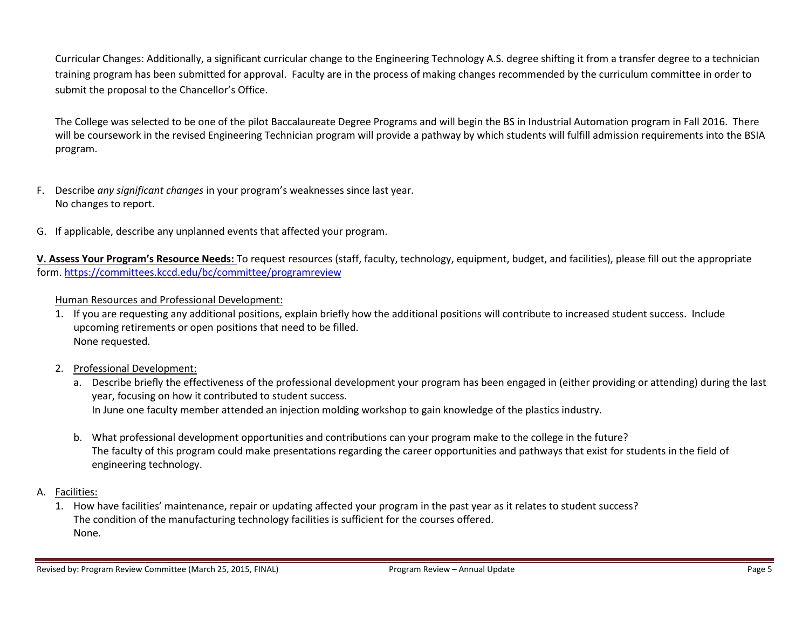Curricular Changes: Additionally, a significant curricular change to the Engineering Technology A.S. degree shifting it from a transfer degree to a technician training program has been submitted for approval. Faculty are in the process of making changes recommended by the curriculum committee in order to submit the proposal to the Chancellor's Office.

The College was selected to be one of the pilot Baccalaureate Degree Programs and will begin the BS in Industrial Automation program in Fall 2016. There will be coursework in the revised Engineering Technician program will provide a pathway by which students will fulfill admission requirements into the BSIA program.

- F. Describe any significant changes in your program's weaknesses since last year. No changes to report.
- G. If applicable, describe any unplanned events that affected your program.

V. Assess Your Program's Resource Needs: To request resources (staff, faculty, technology, equipment, budget, and facilities), please fill out the appropriate form. https://committees.kccd.edu/bc/committee/programreview

## Human Resources and Professional Development:

- 1. If you are requesting any additional positions, explain briefly how the additional positions will contribute to increased student success. Include upcoming retirements or open positions that need to be filled. None requested.
- 2. Professional Development:
	- a. Describe briefly the effectiveness of the professional development your program has been engaged in (either providing or attending) during the last year, focusing on how it contributed to student success. In June one faculty member attended an injection molding workshop to gain knowledge of the plastics industry.
	- b. What professional development opportunities and contributions can your program make to the college in the future? The faculty of this program could make presentations regarding the career opportunities and pathways that exist for students in the field of engineering technology.
- A. <u>Facilities:</u>
	- 1. How have facilities' maintenance, repair or updating affected your program in the past year as it relates to student success? The condition of the manufacturing technology facilities is sufficient for the courses offered. None.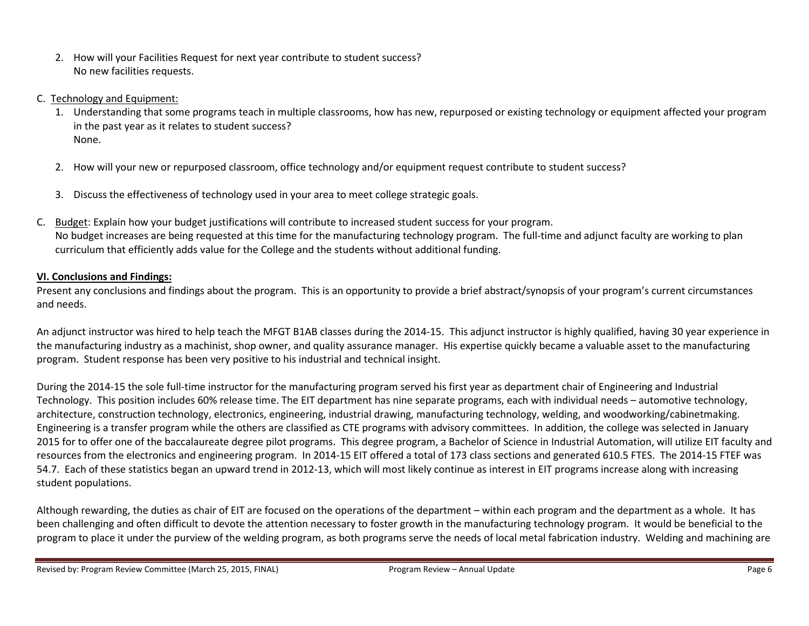- 2. How will your Facilities Request for next year contribute to student success? No new facilities requests.
- C. Technology and Equipment:
	- 1. Understanding that some programs teach in multiple classrooms, how has new, repurposed or existing technology or equipment affected your program in the past year as it relates to student success? None.
	- 2. How will your new or repurposed classroom, office technology and/or equipment request contribute to student success?
	- 3. Discuss the effectiveness of technology used in your area to meet college strategic goals.
- C. Budget: Explain how your budget justifications will contribute to increased student success for your program. No budget increases are being requested at this time for the manufacturing technology program. The full-time and adjunct faculty are working to plan curriculum that efficiently adds value for the College and the students without additional funding.

## VI. Conclusions and Findings:

Present any conclusions and findings about the program. This is an opportunity to provide a brief abstract/synopsis of your program's current circumstances and needs.

An adjunct instructor was hired to help teach the MFGT B1AB classes during the 2014-15. This adjunct instructor is highly qualified, having 30 year experience in the manufacturing industry as a machinist, shop owner, and quality assurance manager. His expertise quickly became a valuable asset to the manufacturing program. Student response has been very positive to his industrial and technical insight.

During the 2014-15 the sole full-time instructor for the manufacturing program served his first year as department chair of Engineering and Industrial Technology. This position includes 60% release time. The EIT department has nine separate programs, each with individual needs – automotive technology, architecture, construction technology, electronics, engineering, industrial drawing, manufacturing technology, welding, and woodworking/cabinetmaking. Engineering is a transfer program while the others are classified as CTE programs with advisory committees. In addition, the college was selected in January 2015 for to offer one of the baccalaureate degree pilot programs. This degree program, a Bachelor of Science in Industrial Automation, will utilize EIT faculty and resources from the electronics and engineering program. In 2014-15 EIT offered a total of 173 class sections and generated 610.5 FTES. The 2014-15 FTEF was 54.7. Each of these statistics began an upward trend in 2012-13, which will most likely continue as interest in EIT programs increase along with increasing student populations.

Although rewarding, the duties as chair of EIT are focused on the operations of the department – within each program and the department as a whole. It has been challenging and often difficult to devote the attention necessary to foster growth in the manufacturing technology program. It would be beneficial to the program to place it under the purview of the welding program, as both programs serve the needs of local metal fabrication industry. Welding and machining are